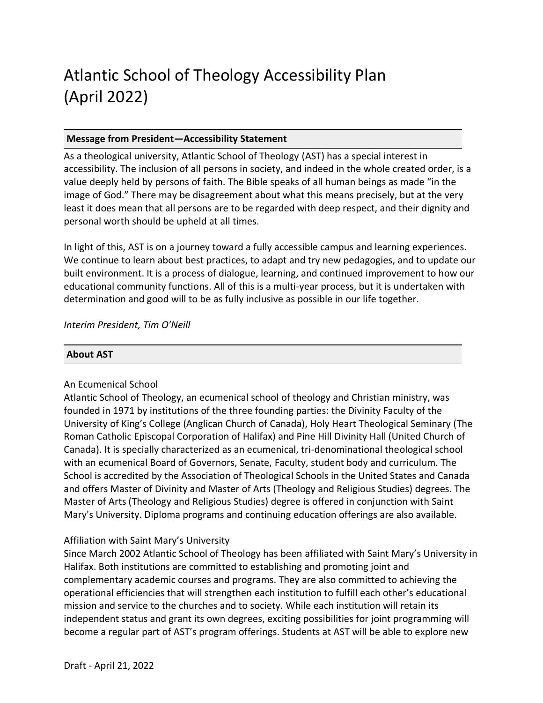# Atlantic School of Theology Accessibility Plan (April 2022)

# **Message from President—Accessibility Statement**

As a theological university, Atlantic School of Theology (AST) has a special interest in accessibility. The inclusion of all persons in society, and indeed in the whole created order, is a value deeply held by persons of faith. The Bible speaks of all human beings as made "in the image of God." There may be disagreement about what this means precisely, but at the very least it does mean that all persons are to be regarded with deep respect, and their dignity and personal worth should be upheld at all times.

In light of this, AST is on a journey toward a fully accessible campus and learning experiences. We continue to learn about best practices, to adapt and try new pedagogies, and to update our built environment. It is a process of dialogue, learning, and continued improvement to how our educational community functions. All of this is a multi-year process, but it is undertaken with determination and good will to be as fully inclusive as possible in our life together.

## *Interim President, Tim O'Neill*

## **About AST**

## An Ecumenical School

Atlantic School of Theology, an ecumenical school of theology and Christian ministry, was founded in 1971 by institutions of the three founding parties: the Divinity Faculty of the University of King's College (Anglican Church of Canada), Holy Heart Theological Seminary (The Roman Catholic Episcopal Corporation of Halifax) and Pine Hill Divinity Hall (United Church of Canada). It is specially characterized as an ecumenical, tri-denominational theological school with an ecumenical Board of Governors, Senate, Faculty, student body and curriculum. The School is accredited by the Association of Theological Schools in the United States and Canada and offers Master of Divinity and Master of Arts (Theology and Religious Studies) degrees. The Master of Arts (Theology and Religious Studies) degree is offered in conjunction with Saint Mary's University. Diploma programs and continuing education offerings are also available.

## Affiliation with Saint Mary's University

Since March 2002 Atlantic School of Theology has been affiliated with Saint Mary's University in Halifax. Both institutions are committed to establishing and promoting joint and complementary academic courses and programs. They are also committed to achieving the operational efficiencies that will strengthen each institution to fulfill each other's educational mission and service to the churches and to society. While each institution will retain its independent status and grant its own degrees, exciting possibilities for joint programming will become a regular part of AST's program offerings. Students at AST will be able to explore new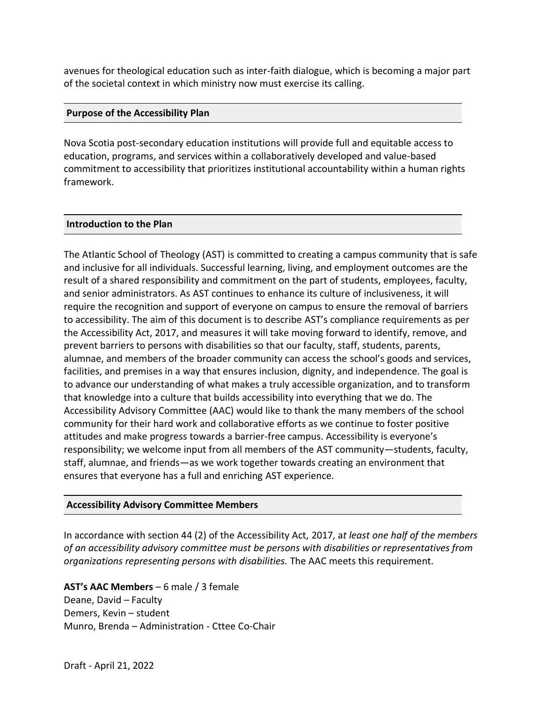avenues for theological education such as inter-faith dialogue, which is becoming a major part of the societal context in which ministry now must exercise its calling.

#### **Purpose of the Accessibility Plan**

Nova Scotia post-secondary education institutions will provide full and equitable access to education, programs, and services within a collaboratively developed and value-based commitment to accessibility that prioritizes institutional accountability within a human rights framework.

## **Introduction to the Plan**

The Atlantic School of Theology (AST) is committed to creating a campus community that is safe and inclusive for all individuals. Successful learning, living, and employment outcomes are the result of a shared responsibility and commitment on the part of students, employees, faculty, and senior administrators. As AST continues to enhance its culture of inclusiveness, it will require the recognition and support of everyone on campus to ensure the removal of barriers to accessibility. The aim of this document is to describe AST's compliance requirements as per the Accessibility Act, 2017, and measures it will take moving forward to identify, remove, and prevent barriers to persons with disabilities so that our faculty, staff, students, parents, alumnae, and members of the broader community can access the school's goods and services, facilities, and premises in a way that ensures inclusion, dignity, and independence. The goal is to advance our understanding of what makes a truly accessible organization, and to transform that knowledge into a culture that builds accessibility into everything that we do. The Accessibility Advisory Committee (AAC) would like to thank the many members of the school community for their hard work and collaborative efforts as we continue to foster positive attitudes and make progress towards a barrier-free campus. Accessibility is everyone's responsibility; we welcome input from all members of the AST community—students, faculty, staff, alumnae, and friends—as we work together towards creating an environment that ensures that everyone has a full and enriching AST experience.

## **Accessibility Advisory Committee Members**

In accordance with section 44 (2) of the Accessibility Act, 2017, a*t least one half of the members of an accessibility advisory committee must be persons with disabilities or representatives from organizations representing persons with disabilities.* The AAC meets this requirement.

**AST's AAC Members** – 6 male / 3 female Deane, David – Faculty Demers, Kevin – student Munro, Brenda – Administration - Cttee Co-Chair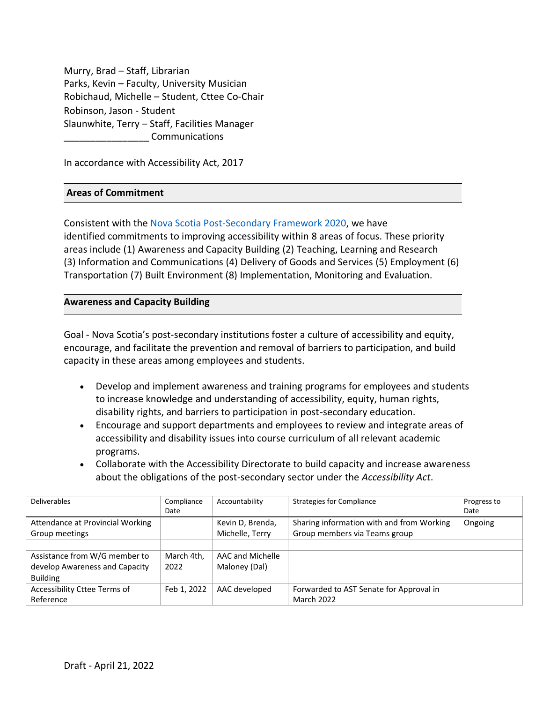Murry, Brad – Staff, Librarian Parks, Kevin – Faculty, University Musician Robichaud, Michelle – Student, Cttee Co-Chair Robinson, Jason - Student Slaunwhite, Terry – Staff, Facilities Manager \_\_\_\_\_\_\_\_\_\_\_\_\_\_\_\_ Communications

In accordance with Accessibility Act, 2017

#### **Areas of Commitment**

Consistent with the [Nova Scotia Post-Secondary Framework 2020,](https://www.nscc.ca/docs/about-nscc/nova-scotia-post-secondary-accessibility-framework.pdf) we have identified commitments to improving accessibility within 8 areas of focus. These priority areas include (1) Awareness and Capacity Building (2) Teaching, Learning and Research (3) Information and Communications (4) Delivery of Goods and Services (5) Employment (6) Transportation (7) Built Environment (8) Implementation, Monitoring and Evaluation.

#### **Awareness and Capacity Building**

Goal - Nova Scotia's post-secondary institutions foster a culture of accessibility and equity, encourage, and facilitate the prevention and removal of barriers to participation, and build capacity in these areas among employees and students. 

- Develop and implement awareness and training programs for employees and students to increase knowledge and understanding of accessibility, equity, human rights, disability rights, and barriers to participation in post-secondary education.
- Encourage and support departments and employees to review and integrate areas of accessibility and disability issues into course curriculum of all relevant academic programs.
- Collaborate with the Accessibility Directorate to build capacity and increase awareness about the obligations of the post-secondary sector under the *Accessibility Act*.

| <b>Deliverables</b>              | Compliance  | Accountability   | <b>Strategies for Compliance</b>          | Progress to |
|----------------------------------|-------------|------------------|-------------------------------------------|-------------|
|                                  | Date        |                  |                                           | Date        |
| Attendance at Provincial Working |             | Kevin D, Brenda, | Sharing information with and from Working | Ongoing     |
| Group meetings                   |             | Michelle, Terry  | Group members via Teams group             |             |
|                                  |             |                  |                                           |             |
| Assistance from W/G member to    | March 4th.  | AAC and Michelle |                                           |             |
| develop Awareness and Capacity   | 2022        | Maloney (Dal)    |                                           |             |
| <b>Building</b>                  |             |                  |                                           |             |
| Accessibility Cttee Terms of     | Feb 1, 2022 | AAC developed    | Forwarded to AST Senate for Approval in   |             |
| Reference                        |             |                  | <b>March 2022</b>                         |             |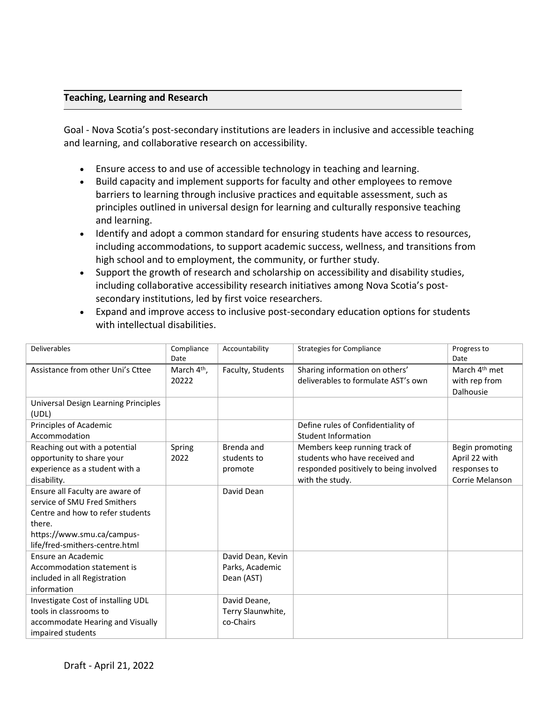# **Teaching, Learning and Research**

Goal - Nova Scotia's post-secondary institutions are leaders in inclusive and accessible teaching and learning, and collaborative research on accessibility.

- Ensure access to and use of accessible technology in teaching and learning.
- Build capacity and implement supports for faculty and other employees to remove barriers to learning through inclusive practices and equitable assessment, such as principles outlined in universal design for learning and culturally responsive teaching and learning.
- Identify and adopt a common standard for ensuring students have access to resources, including accommodations, to support academic success, wellness, and transitions from high school and to employment, the community, or further study.
- Support the growth of research and scholarship on accessibility and disability studies, including collaborative accessibility research initiatives among Nova Scotia's postsecondary institutions, led by first voice researchers.

| Expand and improve access to inclusive post-secondary education options for students |
|--------------------------------------------------------------------------------------|
| with intellectual disabilities.                                                      |

| <b>Deliverables</b>                                                                                                                                                           | Compliance<br>Date               | Accountability                                     | <b>Strategies for Compliance</b>                                                                                             | Progress to<br>Date                                                 |
|-------------------------------------------------------------------------------------------------------------------------------------------------------------------------------|----------------------------------|----------------------------------------------------|------------------------------------------------------------------------------------------------------------------------------|---------------------------------------------------------------------|
| Assistance from other Uni's Cttee                                                                                                                                             | March 4 <sup>th</sup> ,<br>20222 | Faculty, Students                                  | Sharing information on others'<br>deliverables to formulate AST's own                                                        | March 4 <sup>th</sup> met<br>with rep from<br>Dalhousie             |
| Universal Design Learning Principles<br>(UDL)                                                                                                                                 |                                  |                                                    |                                                                                                                              |                                                                     |
| Principles of Academic<br>Accommodation                                                                                                                                       |                                  |                                                    | Define rules of Confidentiality of<br><b>Student Information</b>                                                             |                                                                     |
| Reaching out with a potential<br>opportunity to share your<br>experience as a student with a<br>disability.                                                                   | Spring<br>2022                   | Brenda and<br>students to<br>promote               | Members keep running track of<br>students who have received and<br>responded positively to being involved<br>with the study. | Begin promoting<br>April 22 with<br>responses to<br>Corrie Melanson |
| Ensure all Faculty are aware of<br>service of SMU Fred Smithers<br>Centre and how to refer students<br>there.<br>https://www.smu.ca/campus-<br>life/fred-smithers-centre.html |                                  | David Dean                                         |                                                                                                                              |                                                                     |
| Ensure an Academic<br>Accommodation statement is<br>included in all Registration<br>information                                                                               |                                  | David Dean, Kevin<br>Parks, Academic<br>Dean (AST) |                                                                                                                              |                                                                     |
| Investigate Cost of installing UDL<br>tools in classrooms to<br>accommodate Hearing and Visually<br>impaired students                                                         |                                  | David Deane,<br>Terry Slaunwhite,<br>co-Chairs     |                                                                                                                              |                                                                     |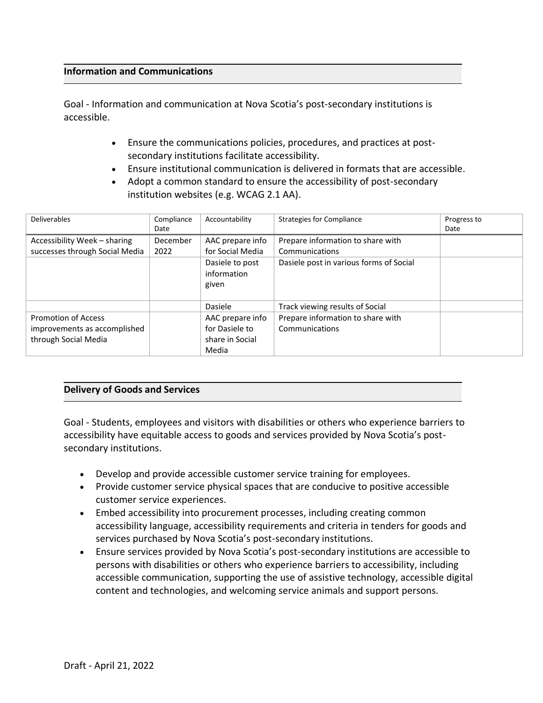#### **Information and Communications**

Goal - Information and communication at Nova Scotia's post-secondary institutions is accessible.

- Ensure the communications policies, procedures, and practices at postsecondary institutions facilitate accessibility.
- Ensure institutional communication is delivered in formats that are accessible.
- Adopt a common standard to ensure the accessibility of post-secondary institution websites (e.g. WCAG 2.1 AA).

| <b>Deliverables</b>                                                                | Compliance | Accountability                                                 | <b>Strategies for Compliance</b>                    | Progress to |
|------------------------------------------------------------------------------------|------------|----------------------------------------------------------------|-----------------------------------------------------|-------------|
|                                                                                    | Date       |                                                                |                                                     | Date        |
| Accessibility Week - sharing                                                       | December   | AAC prepare info                                               | Prepare information to share with                   |             |
| successes through Social Media                                                     | 2022       | for Social Media                                               | Communications                                      |             |
|                                                                                    |            | Dasiele to post<br>information<br>given                        | Dasiele post in various forms of Social             |             |
|                                                                                    |            | Dasiele                                                        | Track viewing results of Social                     |             |
| <b>Promotion of Access</b><br>improvements as accomplished<br>through Social Media |            | AAC prepare info<br>for Dasiele to<br>share in Social<br>Media | Prepare information to share with<br>Communications |             |

#### **Delivery of Goods and Services**

Goal - Students, employees and visitors with disabilities or others who experience barriers to accessibility have equitable access to goods and services provided by Nova Scotia's postsecondary institutions.

- Develop and provide accessible customer service training for employees.
- Provide customer service physical spaces that are conducive to positive accessible customer service experiences.
- Embed accessibility into procurement processes, including creating common accessibility language, accessibility requirements and criteria in tenders for goods and services purchased by Nova Scotia's post-secondary institutions.
- Ensure services provided by Nova Scotia's post-secondary institutions are accessible to persons with disabilities or others who experience barriers to accessibility, including accessible communication, supporting the use of assistive technology, accessible digital content and technologies, and welcoming service animals and support persons.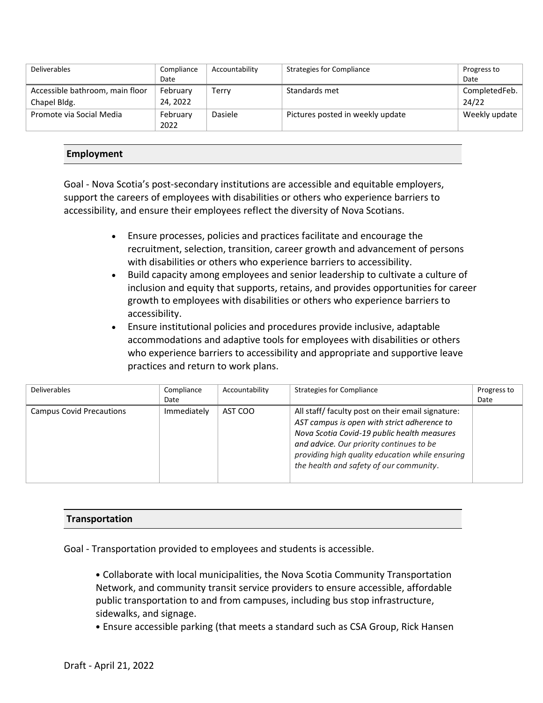| <b>Deliverables</b>             | Compliance       | Accountability | <b>Strategies for Compliance</b> | Progress to   |
|---------------------------------|------------------|----------------|----------------------------------|---------------|
|                                 | Date             |                |                                  | Date          |
| Accessible bathroom, main floor | February         | Terry          | Standards met                    | CompletedFeb. |
| Chapel Bldg.                    | 24, 2022         |                |                                  | 24/22         |
| Promote via Social Media        | February<br>2022 | Dasiele        | Pictures posted in weekly update | Weekly update |

## **Employment**

Goal - Nova Scotia's post-secondary institutions are accessible and equitable employers, support the careers of employees with disabilities or others who experience barriers to accessibility, and ensure their employees reflect the diversity of Nova Scotians.

- Ensure processes, policies and practices facilitate and encourage the recruitment, selection, transition, career growth and advancement of persons with disabilities or others who experience barriers to accessibility.
- Build capacity among employees and senior leadership to cultivate a culture of inclusion and equity that supports, retains, and provides opportunities for career growth to employees with disabilities or others who experience barriers to accessibility.
- Ensure institutional policies and procedures provide inclusive, adaptable accommodations and adaptive tools for employees with disabilities or others who experience barriers to accessibility and appropriate and supportive leave practices and return to work plans.

| <b>Deliverables</b>             | Compliance<br>Date | Accountability | <b>Strategies for Compliance</b>                                                                                                                                                                                                                                                         | Progress to<br>Date |
|---------------------------------|--------------------|----------------|------------------------------------------------------------------------------------------------------------------------------------------------------------------------------------------------------------------------------------------------------------------------------------------|---------------------|
| <b>Campus Covid Precautions</b> | Immediately        | AST COO        | All staff/faculty post on their email signature:<br>AST campus is open with strict adherence to<br>Nova Scotia Covid-19 public health measures<br>and advice. Our priority continues to be<br>providing high quality education while ensuring<br>the health and safety of our community. |                     |

## **Transportation**

Goal - Transportation provided to employees and students is accessible.

• Collaborate with local municipalities, the Nova Scotia Community Transportation Network, and community transit service providers to ensure accessible, affordable public transportation to and from campuses, including bus stop infrastructure, sidewalks, and signage.

• Ensure accessible parking (that meets a standard such as CSA Group, Rick Hansen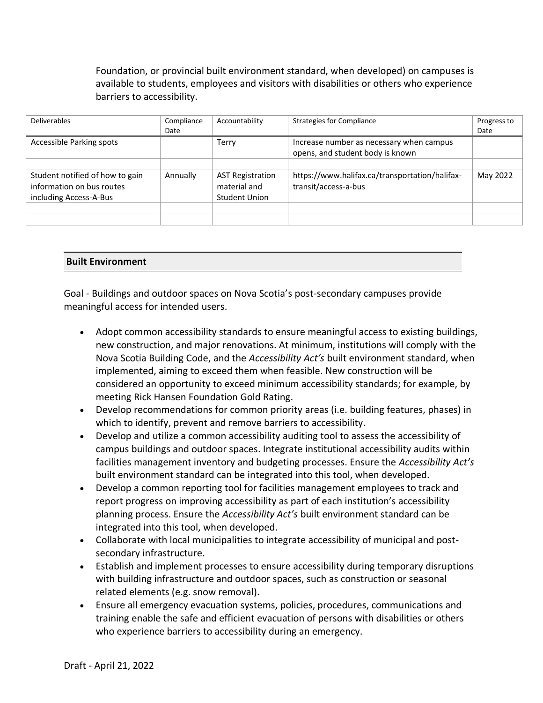Foundation, or provincial built environment standard, when developed) on campuses is available to students, employees and visitors with disabilities or others who experience barriers to accessibility.

| <b>Deliverables</b>                                                                    | Compliance<br>Date | Accountability                                           | <b>Strategies for Compliance</b>                                             | Progress to<br>Date |
|----------------------------------------------------------------------------------------|--------------------|----------------------------------------------------------|------------------------------------------------------------------------------|---------------------|
| Accessible Parking spots                                                               |                    | Terry                                                    | Increase number as necessary when campus<br>opens, and student body is known |                     |
| Student notified of how to gain<br>information on bus routes<br>including Access-A-Bus | Annually           | <b>AST Registration</b><br>material and<br>Student Union | https://www.halifax.ca/transportation/halifax-<br>transit/access-a-bus       | May 2022            |
|                                                                                        |                    |                                                          |                                                                              |                     |

## **Built Environment**

Goal - Buildings and outdoor spaces on Nova Scotia's post-secondary campuses provide meaningful access for intended users.

- Adopt common accessibility standards to ensure meaningful access to existing buildings, new construction, and major renovations. At minimum, institutions will comply with the Nova Scotia Building Code, and the *Accessibility Act's* built environment standard, when implemented, aiming to exceed them when feasible. New construction will be considered an opportunity to exceed minimum accessibility standards; for example, by meeting Rick Hansen Foundation Gold Rating.
- Develop recommendations for common priority areas (i.e. building features, phases) in which to identify, prevent and remove barriers to accessibility.
- Develop and utilize a common accessibility auditing tool to assess the accessibility of campus buildings and outdoor spaces. Integrate institutional accessibility audits within facilities management inventory and budgeting processes. Ensure the *Accessibility Act's*  built environment standard can be integrated into this tool, when developed.
- Develop a common reporting tool for facilities management employees to track and report progress on improving accessibility as part of each institution's accessibility planning process. Ensure the *Accessibility Act's* built environment standard can be integrated into this tool, when developed.
- Collaborate with local municipalities to integrate accessibility of municipal and postsecondary infrastructure.
- Establish and implement processes to ensure accessibility during temporary disruptions with building infrastructure and outdoor spaces, such as construction or seasonal related elements (e.g. snow removal).
- Ensure all emergency evacuation systems, policies, procedures, communications and training enable the safe and efficient evacuation of persons with disabilities or others who experience barriers to accessibility during an emergency.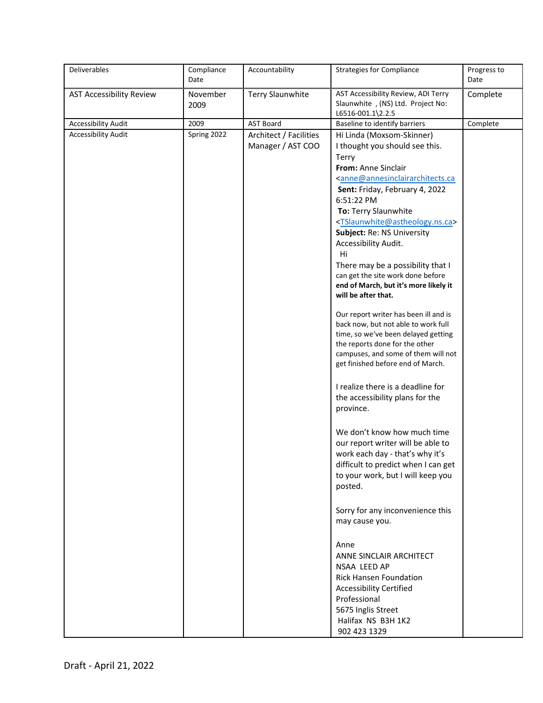| Deliverables                    | Compliance<br>Date | Accountability                              | <b>Strategies for Compliance</b>                                                                                                                                                                                                                                                                                                                                                                                                                                                                    | Progress to<br>Date |
|---------------------------------|--------------------|---------------------------------------------|-----------------------------------------------------------------------------------------------------------------------------------------------------------------------------------------------------------------------------------------------------------------------------------------------------------------------------------------------------------------------------------------------------------------------------------------------------------------------------------------------------|---------------------|
| <b>AST Accessibility Review</b> | November<br>2009   | <b>Terry Slaunwhite</b>                     | AST Accessibility Review, ADI Terry<br>Slaunwhite, (NS) Ltd. Project No:<br>L6516-001.1\2.2.5                                                                                                                                                                                                                                                                                                                                                                                                       | Complete            |
| Accessibility Audit             | 2009               | <b>AST Board</b>                            | Baseline to identify barriers                                                                                                                                                                                                                                                                                                                                                                                                                                                                       | Complete            |
| <b>Accessibility Audit</b>      | Spring 2022        | Architect / Facilities<br>Manager / AST COO | Hi Linda (Moxsom-Skinner)<br>I thought you should see this.<br>Terry<br>From: Anne Sinclair<br><anne@annesinclairarchitects.ca<br>Sent: Friday, February 4, 2022<br/>6:51:22 PM<br/>To: Terry Slaunwhite<br/><tslaunwhite@astheology.ns.ca><br/>Subject: Re: NS University<br/>Accessibility Audit.<br/>Hi<br/>There may be a possibility that I<br/>can get the site work done before<br/>end of March, but it's more likely it</tslaunwhite@astheology.ns.ca></anne@annesinclairarchitects.ca<br> |                     |
|                                 |                    |                                             | will be after that.<br>Our report writer has been ill and is<br>back now, but not able to work full<br>time, so we've been delayed getting<br>the reports done for the other<br>campuses, and some of them will not<br>get finished before end of March.<br>I realize there is a deadline for<br>the accessibility plans for the<br>province.                                                                                                                                                       |                     |
|                                 |                    |                                             | We don't know how much time<br>our report writer will be able to<br>work each day - that's why it's<br>difficult to predict when I can get<br>to your work, but I will keep you<br>posted.                                                                                                                                                                                                                                                                                                          |                     |
|                                 |                    |                                             | Sorry for any inconvenience this<br>may cause you.                                                                                                                                                                                                                                                                                                                                                                                                                                                  |                     |
|                                 |                    |                                             | Anne<br>ANNE SINCLAIR ARCHITECT<br>NSAA LEED AP<br><b>Rick Hansen Foundation</b><br><b>Accessibility Certified</b><br>Professional<br>5675 Inglis Street<br>Halifax NS B3H 1K2<br>902 423 1329                                                                                                                                                                                                                                                                                                      |                     |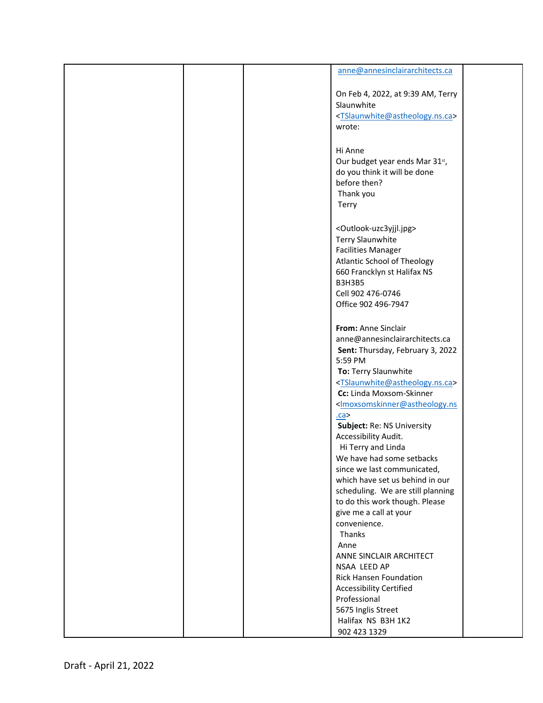|  | anne@annesinclairarchitects.ca                                                                                                                                                                                                                                                                                                                  |  |
|--|-------------------------------------------------------------------------------------------------------------------------------------------------------------------------------------------------------------------------------------------------------------------------------------------------------------------------------------------------|--|
|  | On Feb 4, 2022, at 9:39 AM, Terry<br>Slaunwhite<br><tslaunwhite@astheology.ns.ca><br/>wrote:</tslaunwhite@astheology.ns.ca>                                                                                                                                                                                                                     |  |
|  | Hi Anne<br>Our budget year ends Mar 31st,<br>do you think it will be done<br>before then?<br>Thank you<br>Terry                                                                                                                                                                                                                                 |  |
|  | <outlook-uzc3yjjl.jpg><br/><b>Terry Slaunwhite</b><br/><b>Facilities Manager</b><br/><b>Atlantic School of Theology</b><br/>660 Francklyn st Halifax NS<br/><b>B3H3B5</b><br/>Cell 902 476-0746<br/>Office 902 496-7947</outlook-uzc3yjjl.jpg>                                                                                                  |  |
|  | From: Anne Sinclair<br>anne@annesinclairarchitects.ca<br>Sent: Thursday, February 3, 2022<br>5:59 PM<br>To: Terry Slaunwhite<br><tslaunwhite@astheology.ns.ca><br/>Cc: Linda Moxsom-Skinner<br/><lmoxsomskinner@astheology.ns<br>ca<sub>2</sub><br/>Subject: Re: NS University</lmoxsomskinner@astheology.ns<br></tslaunwhite@astheology.ns.ca> |  |
|  | Accessibility Audit.<br>Hi Terry and Linda<br>We have had some setbacks<br>since we last communicated,<br>which have set us behind in our<br>scheduling. We are still planning<br>to do this work though. Please<br>give me a call at your<br>convenience.                                                                                      |  |
|  | Thanks<br>Anne<br>ANNE SINCLAIR ARCHITECT<br>NSAA LEED AP<br><b>Rick Hansen Foundation</b><br><b>Accessibility Certified</b><br>Professional<br>5675 Inglis Street<br>Halifax NS B3H 1K2<br>902 423 1329                                                                                                                                        |  |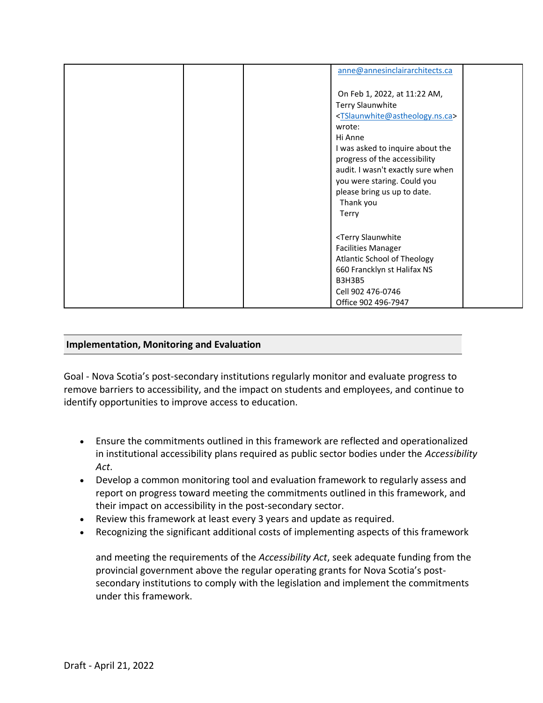| anne@annesinclairarchitects.ca                                                                                                                                                                                                                                                                                                                       |
|------------------------------------------------------------------------------------------------------------------------------------------------------------------------------------------------------------------------------------------------------------------------------------------------------------------------------------------------------|
| On Feb 1, 2022, at 11:22 AM,<br><b>Terry Slaunwhite</b><br><tslaunwhite@astheology.ns.ca><br/>wrote:<br/>Hi Anne<br/>I was asked to inquire about the<br/>progress of the accessibility<br/>audit. I wasn't exactly sure when<br/>you were staring. Could you<br/>please bring us up to date.<br/>Thank you<br/>Terry</tslaunwhite@astheology.ns.ca> |
| <terry slaunwhite<br=""><b>Facilities Manager</b><br/><b>Atlantic School of Theology</b><br/>660 Francklyn st Halifax NS<br/><b>B3H3B5</b><br/>Cell 902 476-0746<br/>Office 902 496-7947</terry>                                                                                                                                                     |

# **Implementation, Monitoring and Evaluation**

Goal - Nova Scotia's post-secondary institutions regularly monitor and evaluate progress to remove barriers to accessibility, and the impact on students and employees, and continue to identify opportunities to improve access to education.  

- Ensure the commitments outlined in this framework are reflected and operationalized in institutional accessibility plans required as public sector bodies under the *Accessibility Act*.
- Develop a common monitoring tool and evaluation framework to regularly assess and report on progress toward meeting the commitments outlined in this framework, and their impact on accessibility in the post-secondary sector.
- Review this framework at least every 3 years and update as required.
- Recognizing the significant additional costs of implementing aspects of this framework

and meeting the requirements of the *Accessibility Act*, seek adequate funding from the provincial government above the regular operating grants for Nova Scotia's postsecondary institutions to comply with the legislation and implement the commitments under this framework.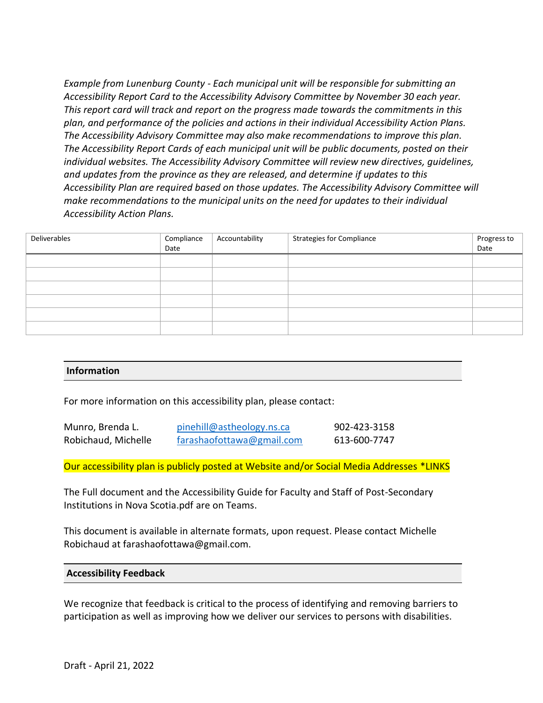*Example from Lunenburg County - Each municipal unit will be responsible for submitting an Accessibility Report Card to the Accessibility Advisory Committee by November 30 each year. This report card will track and report on the progress made towards the commitments in this plan, and performance of the policies and actions in their individual Accessibility Action Plans. The Accessibility Advisory Committee may also make recommendations to improve this plan. The Accessibility Report Cards of each municipal unit will be public documents, posted on their individual websites. The Accessibility Advisory Committee will review new directives, guidelines, and updates from the province as they are released, and determine if updates to this Accessibility Plan are required based on those updates. The Accessibility Advisory Committee will make recommendations to the municipal units on the need for updates to their individual Accessibility Action Plans.*

| Deliverables | Compliance | Accountability | <b>Strategies for Compliance</b> | Progress to |
|--------------|------------|----------------|----------------------------------|-------------|
|              | Date       |                |                                  | Date        |
|              |            |                |                                  |             |
|              |            |                |                                  |             |
|              |            |                |                                  |             |
|              |            |                |                                  |             |
|              |            |                |                                  |             |
|              |            |                |                                  |             |

#### **Information**

For more information on this accessibility plan, please contact:

| Munro, Brenda L.    | pinehill@astheology.ns.ca | 902-423-3158 |
|---------------------|---------------------------|--------------|
| Robichaud, Michelle | farashaofottawa@gmail.com | 613-600-7747 |

Our accessibility plan is publicly posted at Website and/or Social Media Addresses \*LINKS

The Full document and the Accessibility Guide for Faculty and Staff of Post-Secondary Institutions in Nova Scotia.pdf are on Teams.

This document is available in alternate formats, upon request. Please contact Michelle Robichaud at farashaofottawa@gmail.com.

#### **Accessibility Feedback**

We recognize that feedback is critical to the process of identifying and removing barriers to participation as well as improving how we deliver our services to persons with disabilities.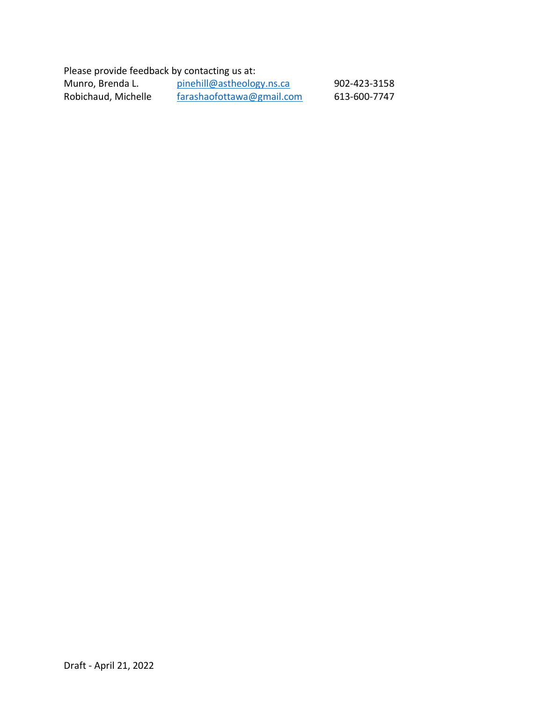Please provide feedback by contacting us at: Munro, Brenda L. [pinehill@astheology.ns.ca](mailto:pinehill@astheology.ns.ca) 902-423-3158<br>Robichaud, Michelle farashaofottawa@gmail.com 613-600-7747  $frac$ arashaofottawa@gmail.com 613-600-7747